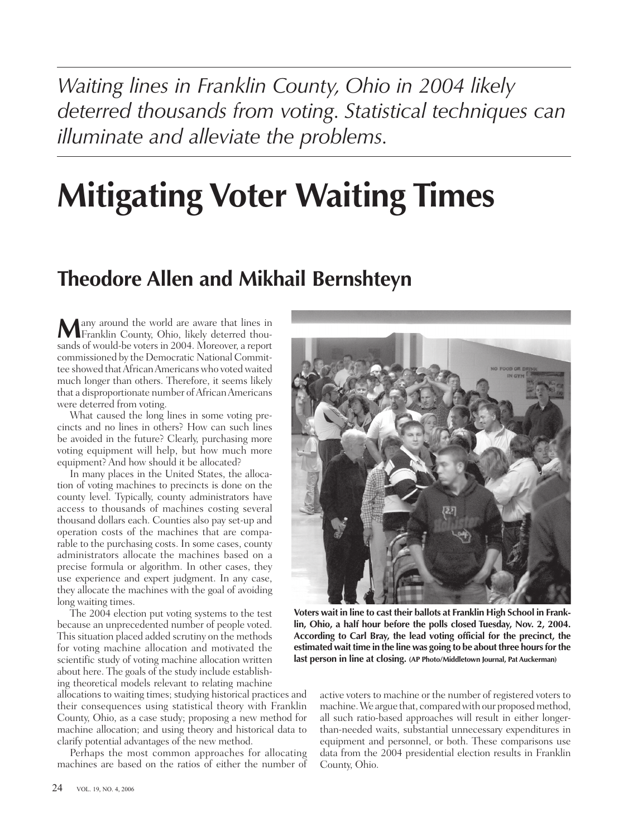*Waiting lines in Franklin County, Ohio in 2004 likely deterred thousands from voting. Statistical techniques can illuminate and alleviate the problems.* 

# **Mitigating Voter Waiting Times**

## **Theodore Allen and Mikhail Bernshteyn**

**M**any around the world are aware that lines in<br>Franklin County, Ohio, likely deterred thousands of would-be voters in 2004. Moreover, a report commissioned by the Democratic National Committee showed that African Americans who voted waited much longer than others. Therefore, it seems likely that a disproportionate number of African Americans were deterred from voting.

What caused the long lines in some voting precincts and no lines in others? How can such lines be avoided in the future? Clearly, purchasing more voting equipment will help, but how much more equipment? And how should it be allocated?

In many places in the United States, the allocation of voting machines to precincts is done on the county level. Typically, county administrators have access to thousands of machines costing several thousand dollars each. Counties also pay set-up and operation costs of the machines that are comparable to the purchasing costs. In some cases, county administrators allocate the machines based on a precise formula or algorithm. In other cases, they use experience and expert judgment. In any case, they allocate the machines with the goal of avoiding long waiting times.

The 2004 election put voting systems to the test because an unprecedented number of people voted. This situation placed added scrutiny on the methods for voting machine allocation and motivated the scientific study of voting machine allocation written about here. The goals of the study include establishing theoretical models relevant to relating machine

allocations to waiting times; studying historical practices and their consequences using statistical theory with Franklin County, Ohio, as a case study; proposing a new method for machine allocation; and using theory and historical data to clarify potential advantages of the new method.

Perhaps the most common approaches for allocating machines are based on the ratios of either the number of



**Voters wait in line to cast their ballots at Franklin High School in Franklin, Ohio, a half hour before the polls closed Tuesday, Nov. 2, 2004. According to Carl Bray, the lead voting official for the precinct, the estimated wait time in the line was going to be about three hours for the last person in line at closing. (AP Photo/Middletown Journal, Pat Auckerman)**

active voters to machine or the number of registered voters to machine. We argue that, compared with our proposed method, all such ratio-based approaches will result in either longerthan-needed waits, substantial unnecessary expenditures in equipment and personnel, or both. These comparisons use data from the 2004 presidential election results in Franklin County, Ohio.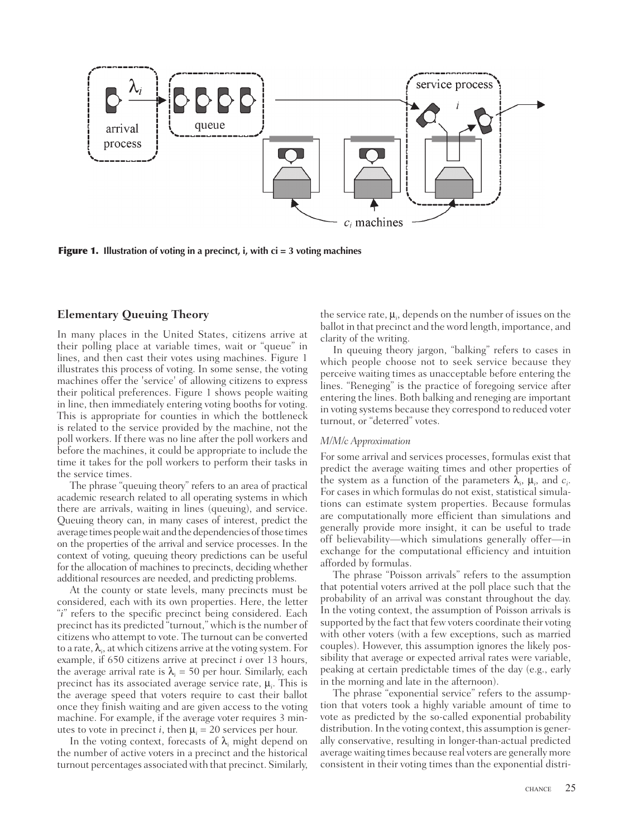

**Figure 1. Illustration of voting in a precinct, i, with ci = 3 voting machines**

#### **Elementary Queuing Theory**

In many places in the United States, citizens arrive at their polling place at variable times, wait or "queue" in lines, and then cast their votes using machines. Figure 1 illustrates this process of voting. In some sense, the voting machines offer the 'service' of allowing citizens to express their political preferences. Figure 1 shows people waiting in line, then immediately entering voting booths for voting. This is appropriate for counties in which the bottleneck is related to the service provided by the machine, not the poll workers. If there was no line after the poll workers and before the machines, it could be appropriate to include the time it takes for the poll workers to perform their tasks in the service times.

The phrase "queuing theory" refers to an area of practical academic research related to all operating systems in which there are arrivals, waiting in lines (queuing), and service. Queuing theory can, in many cases of interest, predict the average times people wait and the dependencies of those times on the properties of the arrival and service processes. In the context of voting, queuing theory predictions can be useful for the allocation of machines to precincts, deciding whether additional resources are needed, and predicting problems.

At the county or state levels, many precincts must be considered, each with its own properties. Here, the letter "*i*" refers to the specific precinct being considered. Each precinct has its predicted "turnout," which is the number of citizens who attempt to vote. The turnout can be converted to a rate,  $\lambda_i$ , at which citizens arrive at the voting system. For example, if 650 citizens arrive at precinct *i* over 13 hours, the average arrival rate is  $\lambda_i = 50$  per hour. Similarly, each precinct has its associated average service rate, µ*<sup>i</sup>* . This is the average speed that voters require to cast their ballot once they finish waiting and are given access to the voting machine. For example, if the average voter requires 3 minutes to vote in precinct *i*, then  $\mu$ <sub>*i*</sub> = 20 services per hour.

In the voting context, forecasts of λ*<sup>i</sup>* might depend on the number of active voters in a precinct and the historical turnout percentages associated with that precinct. Similarly,

the service rate, µ*<sup>i</sup>* , depends on the number of issues on the ballot in that precinct and the word length, importance, and clarity of the writing.

In queuing theory jargon, "balking" refers to cases in which people choose not to seek service because they perceive waiting times as unacceptable before entering the lines. "Reneging" is the practice of foregoing service after entering the lines. Both balking and reneging are important in voting systems because they correspond to reduced voter turnout, or "deterred" votes.

#### *M/M/c Approximation*

For some arrival and services processes, formulas exist that predict the average waiting times and other properties of the system as a function of the parameters  $\lambda_i$ ,  $\mu_i$ , and  $c_i$ . For cases in which formulas do not exist, statistical simulations can estimate system properties. Because formulas are computationally more efficient than simulations and generally provide more insight, it can be useful to trade off believability—which simulations generally offer—in exchange for the computational efficiency and intuition afforded by formulas.

The phrase "Poisson arrivals" refers to the assumption that potential voters arrived at the poll place such that the probability of an arrival was constant throughout the day. In the voting context, the assumption of Poisson arrivals is supported by the fact that few voters coordinate their voting with other voters (with a few exceptions, such as married couples). However, this assumption ignores the likely possibility that average or expected arrival rates were variable, peaking at certain predictable times of the day (e.g., early in the morning and late in the afternoon).

The phrase "exponential service" refers to the assumption that voters took a highly variable amount of time to vote as predicted by the so-called exponential probability distribution. In the voting context, this assumption is generally conservative, resulting in longer-than-actual predicted average waiting times because real voters are generally more consistent in their voting times than the exponential distri-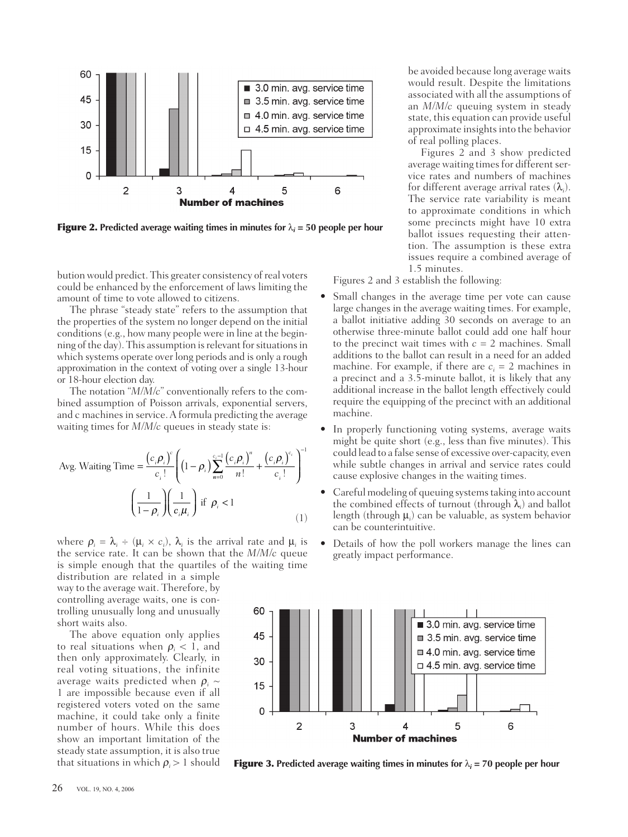

**Figure 2. Predicted average waiting times in minutes for** λ*<sup>i</sup>*  **= 50 people per hour**

bution would predict. This greater consistency of real voters could be enhanced by the enforcement of laws limiting the amount of time to vote allowed to citizens.

The phrase "steady state" refers to the assumption that the properties of the system no longer depend on the initial conditions (e.g., how many people were in line at the beginning of the day). This assumption is relevant for situations in which systems operate over long periods and is only a rough approximation in the context of voting over a single 13-hour or 18-hour election day.

The notation "*M/M/c*" conventionally refers to the combined assumption of Poisson arrivals, exponential servers, and c machines in service. A formula predicting the average waiting times for *M/M/c* queues in steady state is:

Avg. Waiting Time = 
$$
\frac{\left(c_i \rho_i\right)^c}{c_i!} \left(1 - \rho_i\right) \sum_{n=0}^{c_i-1} \frac{\left(c_i \rho_i\right)^n}{n!} + \frac{\left(c_i \rho_i\right)^{c_i}}{c_i!} \right)^{-1}
$$

$$
\left(\frac{1}{1 - \rho_i}\right) \left(\frac{1}{c_i \mu_i}\right) \text{ if } \rho_i < 1 \tag{1}
$$

where  $\rho_i = \lambda_i \div (\mu_i \times c_i)$ ,  $\lambda_i$  is the arrival rate and  $\mu_i$  is the service rate. It can be shown that the *M/M/c* queue is simple enough that the quartiles of the waiting time

distribution are related in a simple way to the average wait. Therefore, by controlling average waits, one is controlling unusually long and unusually short waits also.

The above equation only applies to real situations when  $\rho_i < 1$ , and then only approximately. Clearly, in real voting situations, the infinite average waits predicted when  $\rho_{i} \sim$ 1 are impossible because even if all registered voters voted on the same machine, it could take only a finite number of hours. While this does show an important limitation of the steady state assumption, it is also true that situations in which  $\rho_i > 1$  should be avoided because long average waits would result. Despite the limitations associated with all the assumptions of an *M/M/c* queuing system in steady state, this equation can provide useful approximate insights into the behavior of real polling places.

Figures 2 and 3 show predicted average waiting times for different service rates and numbers of machines for different average arrival rates (λ*<sup>i</sup>* ). The service rate variability is meant to approximate conditions in which some precincts might have 10 extra ballot issues requesting their attention. The assumption is these extra issues require a combined average of 1.5 minutes.

Figures 2 and 3 establish the following:

- Small changes in the average time per vote can cause large changes in the average waiting times. For example, a ballot initiative adding 30 seconds on average to an otherwise three-minute ballot could add one half hour to the precinct wait times with *c* = 2 machines. Small additions to the ballot can result in a need for an added machine. For example, if there are  $c_i = 2$  machines in a precinct and a 3.5-minute ballot, it is likely that any additional increase in the ballot length effectively could require the equipping of the precinct with an additional machine.
- In properly functioning voting systems, average waits might be quite short (e.g., less than five minutes). This could lead to a false sense of excessive over-capacity, even while subtle changes in arrival and service rates could cause explosive changes in the waiting times.
- Careful modeling of queuing systems taking into account the combined effects of turnout (through λ*<sup>i</sup>* ) and ballot length (through µ*<sup>i</sup>* ) can be valuable, as system behavior can be counterintuitive.
- Details of how the poll workers manage the lines can greatly impact performance.



**Figure 3. Predicted average waiting times in minutes for** λ*<sup>i</sup>*  **= 70 people per hour**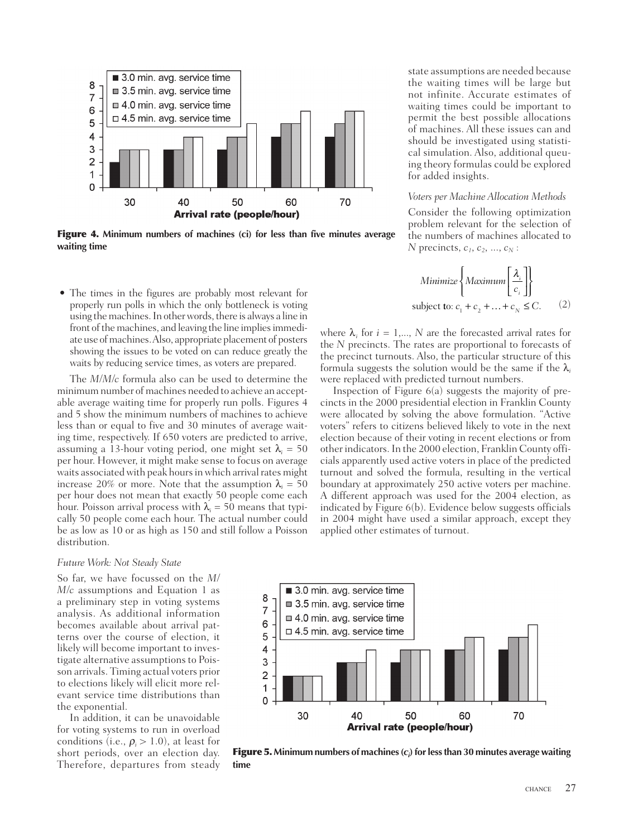

**Figure 4. Minimum numbers of machines (ci) for less than five minutes average waiting time**

 • The times in the figures are probably most relevant for properly run polls in which the only bottleneck is voting using the machines. In other words, there is always a line in front of the machines, and leaving the line implies immediate use of machines. Also, appropriate placement of posters showing the issues to be voted on can reduce greatly the waits by reducing service times, as voters are prepared.

The *M/M/c* formula also can be used to determine the minimum number of machines needed to achieve an acceptable average waiting time for properly run polls. Figures 4 and 5 show the minimum numbers of machines to achieve less than or equal to five and 30 minutes of average waiting time, respectively. If 650 voters are predicted to arrive, assuming a 13-hour voting period, one might set  $\lambda_i = 50$ per hour. However, it might make sense to focus on average waits associated with peak hours in which arrival rates might increase 20% or more. Note that the assumption  $\lambda_i = 50$ per hour does not mean that exactly 50 people come each hour. Poisson arrival process with  $\lambda_i = 50$  means that typically 50 people come each hour. The actual number could be as low as 10 or as high as 150 and still follow a Poisson distribution.

#### *Future Work: Not Steady State*

So far, we have focussed on the *M/ M/c* assumptions and Equation 1 as a preliminary step in voting systems analysis. As additional information becomes available about arrival patterns over the course of election, it likely will become important to investigate alternative assumptions to Poisson arrivals. Timing actual voters prior to elections likely will elicit more relevant service time distributions than the exponential.

In addition, it can be unavoidable for voting systems to run in overload conditions (i.e.,  $\rho_i > 1.0$ ), at least for short periods, over an election day. Therefore, departures from steady

state assumptions are needed because the waiting times will be large but not infinite. Accurate estimates of waiting times could be important to permit the best possible allocations of machines. All these issues can and should be investigated using statistical simulation. Also, additional queuing theory formulas could be explored for added insights.

#### *Voters per Machine Allocation Methods*

Consider the following optimization problem relevant for the selection of the numbers of machines allocated to *N* precincts,  $c_1, c_2, ..., c_N$ :

Minimize 
$$
\left\{ \text{Maximum} \left[ \frac{\lambda_i}{c_i} \right] \right\}
$$
  
subject to:  $c_1 + c_2 + ... + c_N \leq C$ . (2)

where  $\lambda_i$  for  $i = 1,..., N$  are the forecasted arrival rates for the *N* precincts. The rates are proportional to forecasts of the precinct turnouts. Also, the particular structure of this formula suggests the solution would be the same if the λ*<sup>i</sup>* were replaced with predicted turnout numbers.

Inspection of Figure 6(a) suggests the majority of precincts in the 2000 presidential election in Franklin County were allocated by solving the above formulation. "Active voters" refers to citizens believed likely to vote in the next election because of their voting in recent elections or from other indicators. In the 2000 election, Franklin County officials apparently used active voters in place of the predicted turnout and solved the formula, resulting in the vertical boundary at approximately 250 active voters per machine. A different approach was used for the 2004 election, as indicated by Figure 6(b). Evidence below suggests officials in 2004 might have used a similar approach, except they applied other estimates of turnout.



**Figure 5. Minimum numbers of machines (***ci* **) for less than 30 minutes average waiting time**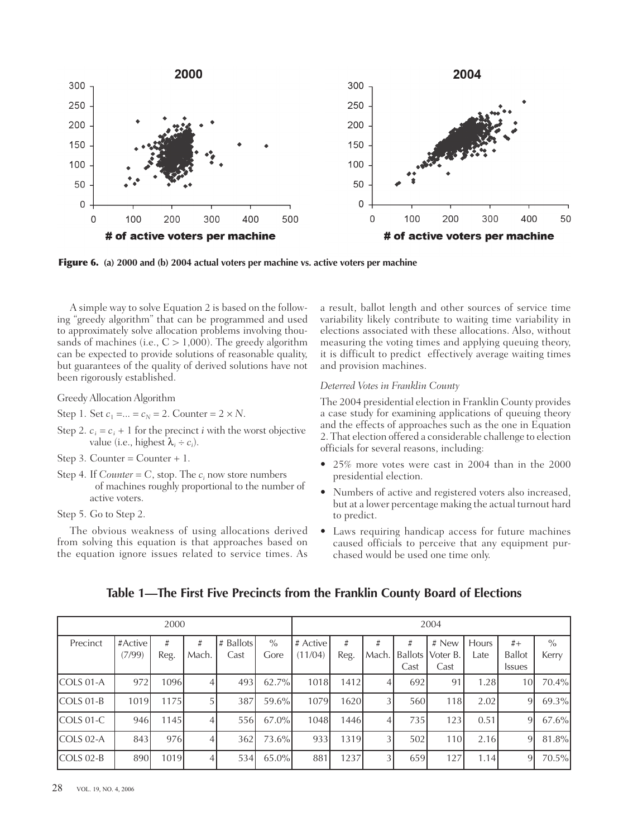

**Figure 6. (a) 2000 and (b) 2004 actual voters per machine vs. active voters per machine**

A simple way to solve Equation 2 is based on the following "greedy algorithm" that can be programmed and used to approximately solve allocation problems involving thousands of machines (i.e.,  $C > 1,000$ ). The greedy algorithm can be expected to provide solutions of reasonable quality, but guarantees of the quality of derived solutions have not been rigorously established.

Greedy Allocation Algorithm

- Step 1. Set  $c_1 = ... = c_N = 2$ . Counter =  $2 \times N$ .
- Step 2.  $c_i = c_i + 1$  for the precinct *i* with the worst objective value (i.e., highest  $\lambda_i \div c_i$ ).
- Step 3. Counter =  $Counter + 1$ .
- Step 4. If *Counter* = *C*, stop. The  $c_i$  now store numbers of machines roughly proportional to the number of active voters.

Step 5. Go to Step 2.

The obvious weakness of using allocations derived from solving this equation is that approaches based on the equation ignore issues related to service times. As a result, ballot length and other sources of service time variability likely contribute to waiting time variability in elections associated with these allocations. Also, without measuring the voting times and applying queuing theory, it is difficult to predict effectively average waiting times and provision machines.

#### *Deterred Votes in Franklin County*

The 2004 presidential election in Franklin County provides a case study for examining applications of queuing theory and the effects of approaches such as the one in Equation 2. That election offered a considerable challenge to election officials for several reasons, including:

- 25% more votes were cast in 2004 than in the 2000 presidential election.
- Numbers of active and registered voters also increased, but at a lower percentage making the actual turnout hard to predict.
- Laws requiring handicap access for future machines caused officials to perceive that any equipment purchased would be used one time only.

| Table 1—The First Five Precincts from the Franklin County Board of Elections |  |
|------------------------------------------------------------------------------|--|
|                                                                              |  |

|           | 2004              |           |            |                   |              |                     |           |                |                        |                           |               |                                        |                        |
|-----------|-------------------|-----------|------------|-------------------|--------------|---------------------|-----------|----------------|------------------------|---------------------------|---------------|----------------------------------------|------------------------|
| Precinct  | #Active<br>(7/99) | #<br>Reg. | #<br>Mach. | # Ballots<br>Cast | $\%$<br>Gore | # Active<br>(11/04) | #<br>Reg. | Mach.          | <b>Ballots</b><br>Cast | # New<br>Voter B.<br>Cast | Hours<br>Late | $# +$<br><b>Ballot</b><br><i>ssues</i> | $\frac{0}{0}$<br>Kerry |
| COLS 01-A | 972               | 1096      | 4          | 493               | $62.7\%$     | 1018                | 1412      | 4              | 692                    | 91                        | 1.28          | 10I                                    | 70.4%                  |
| COLS 01-B | 1019              | 1175      |            | 387               | 59.6%        | 1079                | 1620      | 3              | 560                    | 118                       | 2.02          | -91                                    | 69.3%                  |
| COLS 01-C | 946               | 1145      | 4          | 556 <sub>l</sub>  | $67.0\%$     | 1048                | 1446      | 4              | 735                    | 123                       | 0.51          | 9                                      | 67.6%                  |
| COLS 02-A | 843               | 976       | 41         | 362               | 73.6%        | 933                 | 1319      | $\overline{3}$ | 502                    | 11 <sub>0</sub>           | 2.16          | -91                                    | 81.8%                  |
| COLS 02-B | 890               | 1019      | 4          | 534               | 65.0%        | 881                 | 1237      | 3              | 659                    | 127                       | 1.14          | 9                                      | 70.5%                  |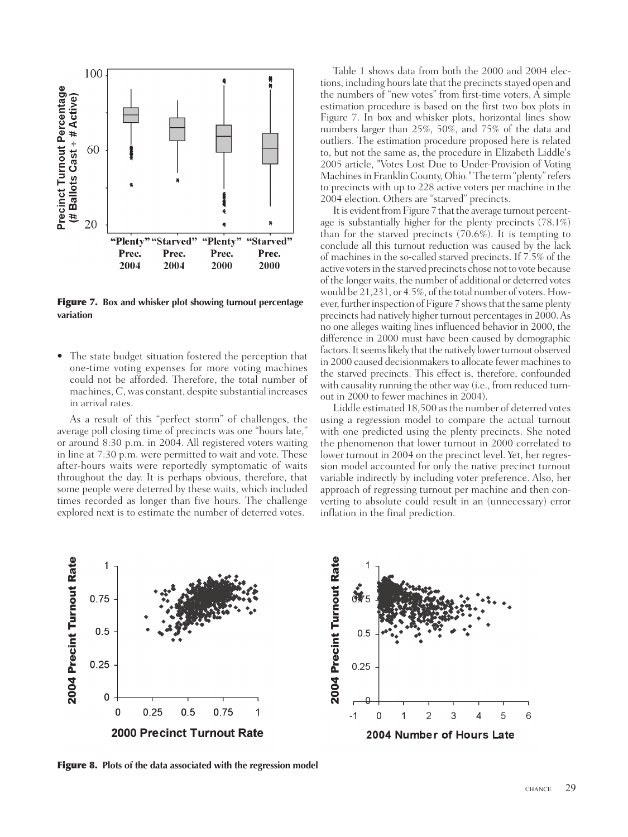

**Figure 7. Box and whisker plot showing turnout percentage variation**

• The state budget situation fostered the perception that one-time voting expenses for more voting machines could not be afforded. Therefore, the total number of machines, *C*, was constant, despite substantial increases in arrival rates.

As a result of this "perfect storm" of challenges, the average poll closing time of precincts was one "hours late," or around 8:30 p.m. in 2004. All registered voters waiting in line at 7:30 p.m. were permitted to wait and vote. These after-hours waits were reportedly symptomatic of waits throughout the day. It is perhaps obvious, therefore, that some people were deterred by these waits, which included times recorded as longer than five hours. The challenge explored next is to estimate the number of deterred votes.

Table 1 shows data from both the 2000 and 2004 elections, including hours late that the precincts stayed open and the numbers of "new votes" from first-time voters.  $\overline{A}$  simple estimation procedure is based on the first two box plots in Figure 7. In box and whisker plots, horizontal lines show numbers larger than 25%, 50%, and 75% of the data and outliers. The estimation procedure proposed here is related to, but not the same as, the procedure in Elizabeth Liddle's 2005 article, "Votes Lost Due to Under-Provision of Voting Machines in Franklin County, Ohio." The term "plenty" refers to precincts with up to 228 active voters per machine in the 2004 election. Others are "starved" precincts.

It is evident from Figure 7 that the average turnout percentage is substantially higher for the plenty precincts (78.1%) than for the starved precincts (70.6%). It is tempting to conclude all this turnout reduction was caused by the lack of machines in the so-called starved precincts. If 7.5% of the active voters in the starved precincts chose not to vote because of the longer waits, the number of additional or deterred votes would be 21,231, or 4.5%, of the total number of voters. However, further inspection of Figure 7 shows that the same plenty precincts had natively higher turnout percentages in 2000. As no one alleges waiting lines influenced behavior in 2000, the difference in 2000 must have been caused by demographic factors. It seems likely that the natively lower turnout observed in 2000 caused decisionmakers to allocate fewer machines to the starved precincts. This effect is, therefore, confounded with causality running the other way (i.e., from reduced turnout in 2000 to fewer machines in 2004).

Liddle estimated 18,500 as the number of deterred votes using a regression model to compare the actual turnout with one predicted using the plenty precincts. She noted the phenomenon that lower turnout in 2000 correlated to lower turnout in 2004 on the precinct level. Yet, her regression model accounted for only the native precinct turnout variable indirectly by including voter preference. Also, her approach of regressing turnout per machine and then converting to absolute could result in an (unnecessary) error inflation in the final prediction.

2004 Precint Turnout Rate 1 0.75  $0.5$  $0.25$  $\mathbf 0$ 0.75  $\overline{0}$  $0.25$  $0.5$  $\overline{1}$ **2000 Precinct Turnout Rate** 



**Figure 8. Plots of the data associated with the regression model**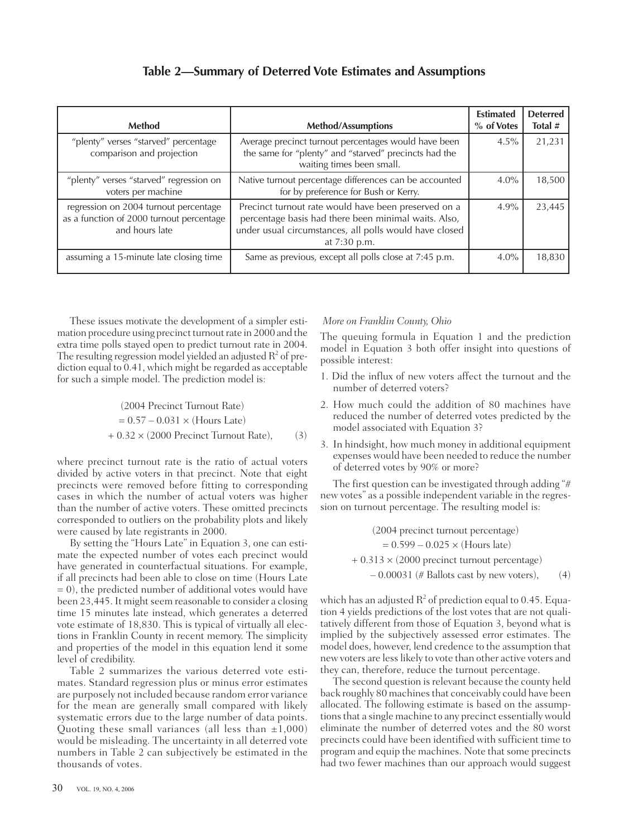| Table 2—Summary of Deterred Vote Estimates and Assumptions |  |
|------------------------------------------------------------|--|
|------------------------------------------------------------|--|

| <b>Method</b>                                                                                       | Method/Assumptions                                                                                                                                                                     | <b>Estimated</b><br>% of Votes | <b>Deterred</b><br>Total $#$ |
|-----------------------------------------------------------------------------------------------------|----------------------------------------------------------------------------------------------------------------------------------------------------------------------------------------|--------------------------------|------------------------------|
| "plenty" verses "starved" percentage<br>comparison and projection                                   | Average precinct turnout percentages would have been<br>the same for "plenty" and "starved" precincts had the<br>waiting times been small.                                             | $4.5\%$                        | 21,231                       |
| "plenty" verses "starved" regression on<br>voters per machine                                       | Native turnout percentage differences can be accounted<br>for by preference for Bush or Kerry.                                                                                         | $4.0\%$                        | 18,500                       |
| regression on 2004 turnout percentage<br>as a function of 2000 turnout percentage<br>and hours late | Precinct turnout rate would have been preserved on a<br>percentage basis had there been minimal waits. Also,<br>under usual circumstances, all polls would have closed<br>at 7:30 p.m. | $4.9\%$                        | 23,445                       |
| assuming a 15-minute late closing time                                                              | Same as previous, except all polls close at 7:45 p.m.                                                                                                                                  | $4.0\%$                        | 18,830                       |

These issues motivate the development of a simpler estimation procedure using precinct turnout rate in 2000 and the extra time polls stayed open to predict turnout rate in 2004. The resulting regression model yielded an adjusted  $R^2$  of prediction equal to 0.41, which might be regarded as acceptable for such a simple model. The prediction model is:

$$
(2004 \text{ Precinct Turnout Rate})
$$
  
= 0.57 - 0.031 × (Hours Late)  
+ 0.32 × (2000 Precinct Turnout Rate), (3)

where precinct turnout rate is the ratio of actual voters divided by active voters in that precinct. Note that eight precincts were removed before fitting to corresponding cases in which the number of actual voters was higher than the number of active voters. These omitted precincts corresponded to outliers on the probability plots and likely were caused by late registrants in 2000.

By setting the "Hours Late" in Equation 3, one can estimate the expected number of votes each precinct would have generated in counterfactual situations. For example, if all precincts had been able to close on time (Hours Late  $= 0$ ), the predicted number of additional votes would have been 23,445. It might seem reasonable to consider a closing time 15 minutes late instead, which generates a deterred vote estimate of 18,830. This is typical of virtually all elections in Franklin County in recent memory. The simplicity and properties of the model in this equation lend it some level of credibility.

Table 2 summarizes the various deterred vote estimates. Standard regression plus or minus error estimates are purposely not included because random error variance for the mean are generally small compared with likely systematic errors due to the large number of data points. Quoting these small variances (all less than  $\pm 1,000$ ) would be misleading. The uncertainty in all deterred vote numbers in Table 2 can subjectively be estimated in the thousands of votes.

#### *More on Franklin County, Ohio*

The queuing formula in Equation 1 and the prediction model in Equation 3 both offer insight into questions of possible interest:

- 1. Did the influx of new voters affect the turnout and the number of deterred voters?
- 2. How much could the addition of 80 machines have reduced the number of deterred votes predicted by the model associated with Equation 3?
- 3. In hindsight, how much money in additional equipment expenses would have been needed to reduce the number of deterred votes by 90% or more?

The first question can be investigated through adding "# new votes" as a possible independent variable in the regression on turnout percentage. The resulting model is:

> (2004 precinct turnout percentage)  $= 0.599 - 0.025 \times (Hours late)$  $+ 0.313 \times (2000)$  precinct turnout percentage)  $-0.00031$  (# Ballots cast by new voters), (4)

which has an adjusted  $R^2$  of prediction equal to 0.45. Equation 4 yields predictions of the lost votes that are not qualitatively different from those of Equation 3, beyond what is implied by the subjectively assessed error estimates. The model does, however, lend credence to the assumption that new voters are less likely to vote than other active voters and they can, therefore, reduce the turnout percentage.

The second question is relevant because the county held back roughly 80 machines that conceivably could have been allocated. The following estimate is based on the assumptions that a single machine to any precinct essentially would eliminate the number of deterred votes and the 80 worst precincts could have been identified with sufficient time to program and equip the machines. Note that some precincts had two fewer machines than our approach would suggest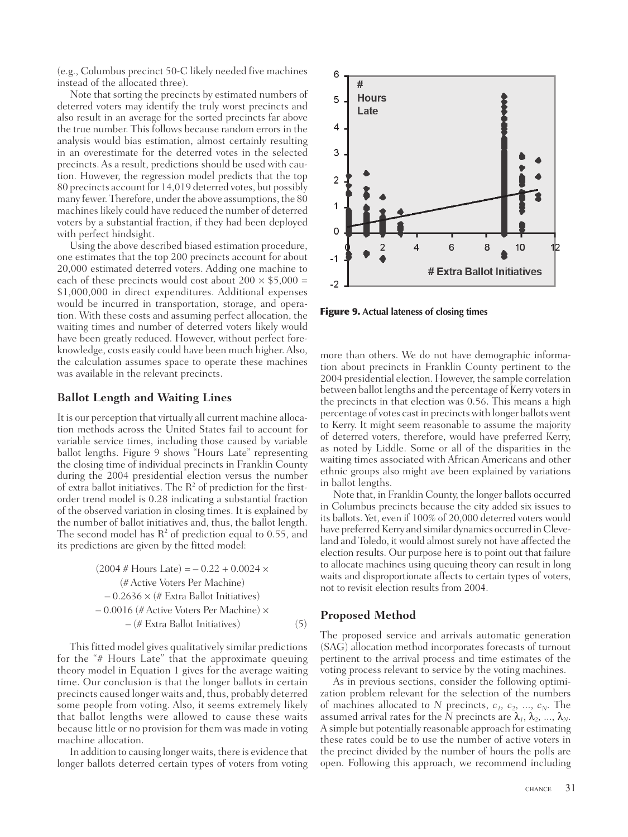(e.g., Columbus precinct 50-C likely needed five machines instead of the allocated three).

Note that sorting the precincts by estimated numbers of deterred voters may identify the truly worst precincts and also result in an average for the sorted precincts far above the true number. This follows because random errors in the analysis would bias estimation, almost certainly resulting in an overestimate for the deterred votes in the selected precincts. As a result, predictions should be used with caution. However, the regression model predicts that the top 80 precincts account for 14,019 deterred votes, but possibly many fewer. Therefore, under the above assumptions, the 80 machines likely could have reduced the number of deterred voters by a substantial fraction, if they had been deployed with perfect hindsight.

Using the above described biased estimation procedure, one estimates that the top 200 precincts account for about 20,000 estimated deterred voters. Adding one machine to each of these precincts would cost about  $200 \times $5,000 =$ \$1,000,000 in direct expenditures. Additional expenses would be incurred in transportation, storage, and operation. With these costs and assuming perfect allocation, the waiting times and number of deterred voters likely would have been greatly reduced. However, without perfect foreknowledge, costs easily could have been much higher. Also, the calculation assumes space to operate these machines was available in the relevant precincts.

#### **Ballot Length and Waiting Lines**

It is our perception that virtually all current machine allocation methods across the United States fail to account for variable service times, including those caused by variable ballot lengths. Figure 9 shows "Hours Late" representing the closing time of individual precincts in Franklin County during the 2004 presidential election versus the number of extra ballot initiatives. The  $R^2$  of prediction for the firstorder trend model is 0.28 indicating a substantial fraction of the observed variation in closing times. It is explained by the number of ballot initiatives and, thus, the ballot length. The second model has  $R^2$  of prediction equal to 0.55, and its predictions are given by the fitted model:

$$
(2004 # Hours Late) = -0.22 + 0.0024 \times
$$
  
\n
$$
(\# Active Voters Per Machine)
$$
  
\n
$$
-0.2636 \times (\# Extra Ballot Initiative)
$$
  
\n
$$
-0.0016 (\# Active Voters Per Machine) \times
$$
  
\n
$$
-(\# Extra Ballot Initiative)
$$
 (5)

This fitted model gives qualitatively similar predictions for the "# Hours Late" that the approximate queuing theory model in Equation 1 gives for the average waiting time. Our conclusion is that the longer ballots in certain precincts caused longer waits and, thus, probably deterred some people from voting. Also, it seems extremely likely that ballot lengths were allowed to cause these waits because little or no provision for them was made in voting machine allocation.

In addition to causing longer waits, there is evidence that longer ballots deterred certain types of voters from voting



**Figure 9. Actual lateness of closing times**

more than others. We do not have demographic information about precincts in Franklin County pertinent to the 2004 presidential election. However, the sample correlation between ballot lengths and the percentage of Kerry voters in the precincts in that election was 0.56. This means a high percentage of votes cast in precincts with longer ballots went to Kerry. It might seem reasonable to assume the majority of deterred voters, therefore, would have preferred Kerry, as noted by Liddle. Some or all of the disparities in the waiting times associated with African Americans and other ethnic groups also might ave been explained by variations in ballot lengths.

Note that, in Franklin County, the longer ballots occurred in Columbus precincts because the city added six issues to its ballots. Yet, even if 100% of 20,000 deterred voters would have preferred Kerry and similar dynamics occurred in Cleveland and Toledo, it would almost surely not have affected the election results. Our purpose here is to point out that failure to allocate machines using queuing theory can result in long waits and disproportionate affects to certain types of voters, not to revisit election results from 2004.

#### **Proposed Method**

The proposed service and arrivals automatic generation (SAG) allocation method incorporates forecasts of turnout pertinent to the arrival process and time estimates of the voting process relevant to service by the voting machines.

As in previous sections, consider the following optimization problem relevant for the selection of the numbers of machines allocated to N precincts,  $c_1$ ,  $c_2$ , ...,  $c_N$ . The assumed arrival rates for the *N* precincts are  $\lambda_1$ ,  $\lambda_2$ , ...,  $\lambda_N$ . A simple but potentially reasonable approach for estimating these rates could be to use the number of active voters in the precinct divided by the number of hours the polls are open. Following this approach, we recommend including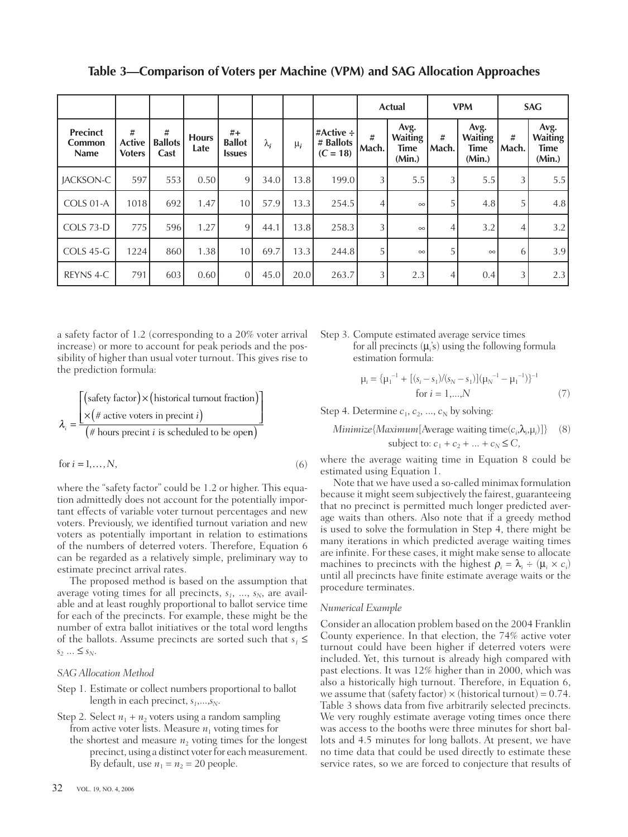|                                          |                              |                             |                      |                                        |             |         |                                      | <b>Actual</b> |                                                 | <b>VPM</b>     |                                                 | <b>SAG</b>       |                                          |
|------------------------------------------|------------------------------|-----------------------------|----------------------|----------------------------------------|-------------|---------|--------------------------------------|---------------|-------------------------------------------------|----------------|-------------------------------------------------|------------------|------------------------------------------|
| <b>Precinct</b><br>Common<br><b>Name</b> | #<br>Active<br><b>Voters</b> | #<br><b>Ballots</b><br>Cast | <b>Hours</b><br>Late | $#+$<br><b>Ballot</b><br><b>Issues</b> | $\lambda_i$ | $\mu_i$ | #Active ÷<br># Ballots<br>$(C = 18)$ | #<br>Mach.    | Avg.<br><b>Waiting</b><br><b>Time</b><br>(Min.) | #<br>Mach.     | Avg.<br><b>Waiting</b><br><b>Time</b><br>(Min.) | #<br>Mach.       | Avg.<br><b>Waiting</b><br>Time<br>(Min.) |
| JACKSON-C                                | 597                          | 553                         | 0.50                 | 9                                      | 34.0        | 13.8    | 199.0                                | 3             | 5.5                                             | 3              | 5.5                                             | $\frac{3}{2}$    | 5.5                                      |
| COLS 01-A                                | 1018                         | 692                         | 1.47                 | 10 <sup>1</sup>                        | 57.9        | 13.3    | 254.5                                | 4             | $\infty$                                        | 5              | 4.8                                             | 5 <sup>1</sup>   | 4.8                                      |
| COLS 73-D                                | 775                          | 596                         | 1.27                 | 9                                      | 44.1        | 13.8    | 258.3                                | 3             | $\infty$                                        | $\overline{4}$ | 3.2                                             | $\left 4\right $ | 3.2                                      |
| COLS 45-G                                | 1224                         | 860                         | 1.38                 | 10 <sup>1</sup>                        | 69.7        | 13.3    | 244.8                                | 5             | $\infty$                                        | 5              | $\infty$                                        | 6                | 3.9                                      |
| REYNS 4-C                                | 791                          | 603                         | 0.60                 | $\overline{0}$                         | 45.0        | 20.0    | 263.7                                | 3             | 2.3                                             | $\overline{4}$ | 0.4                                             | $\frac{3}{2}$    | 2.3                                      |

**Table 3—Comparison of Voters per Machine (VPM) and SAG Allocation Approaches**

a safety factor of 1.2 (corresponding to a 20% voter arrival increase) or more to account for peak periods and the possibility of higher than usual voter turnout. This gives rise to the prediction formula:

$$
\lambda_i = \frac{\left[ \left( \text{safety factor} \right) \times \left( \text{historical turnover fraction} \right) \right]}{\left( \# \text{ hours percent } i \text{ is scheduled to be open} \right)}
$$

$$
for i = 1, ..., N,
$$
\n<sup>(6)</sup>

where the "safety factor" could be 1.2 or higher. This equation admittedly does not account for the potentially important effects of variable voter turnout percentages and new voters. Previously, we identified turnout variation and new voters as potentially important in relation to estimations of the numbers of deterred voters. Therefore, Equation 6 can be regarded as a relatively simple, preliminary way to estimate precinct arrival rates.

The proposed method is based on the assumption that average voting times for all precincts,  $s_1$ , ...,  $s_N$ , are available and at least roughly proportional to ballot service time for each of the precincts. For example, these might be the number of extra ballot initiatives or the total word lengths of the ballots. Assume precincts are sorted such that  $s_1 \leq$  $s_2 \ldots \leq s_N$ .

#### *SAG Allocation Method*

- Step 1. Estimate or collect numbers proportional to ballot length in each precinct,  $s_1, \ldots, s_N$ .
- Step 2. Select  $n_1 + n_2$  voters using a random sampling from active voter lists. Measure  $n_1$  voting times for
	- the shortest and measure  $n_2$  voting times for the longest precinct, using a distinct voter for each measurement. By default, use  $n_1 = n_2 = 20$  people.

Step 3. Compute estimated average service times for all precincts  $(\mu_i)$  using the following formula estimation formula:

$$
\mu_{i} = {\mu_{1}}^{-1} + [(s_{i} - s_{1})/(s_{N} - s_{1})](\mu_{N}^{-1} - \mu_{1}^{-1})^{-1}
$$
  
for  $i = 1,...,N$  (7)

Step 4. Determine  $c_1, c_2, ..., c_N$  by solving:

*Minimize*{*Maximum*[Average waiting time( $c_i$ , $\lambda_i$ , $\mu_i$  $(8)$ subject to:  $c_1 + c_2 + ... + c_N \leq C$ ,

where the average waiting time in Equation 8 could be estimated using Equation 1.

Note that we have used a so-called minimax formulation because it might seem subjectively the fairest, guaranteeing that no precinct is permitted much longer predicted average waits than others. Also note that if a greedy method is used to solve the formulation in Step 4, there might be many iterations in which predicted average waiting times are infinite. For these cases, it might make sense to allocate machines to precincts with the highest  $\rho_i = \lambda_i \div (\mu_i \times c_i)$ until all precincts have finite estimate average waits or the procedure terminates.

#### *Numerical Example*

Consider an allocation problem based on the 2004 Franklin County experience. In that election, the 74% active voter turnout could have been higher if deterred voters were included. Yet, this turnout is already high compared with past elections. It was 12% higher than in 2000, which was also a historically high turnout. Therefore, in Equation 6, we assume that (safety factor)  $\times$  (historical turnout) = 0.74. Table 3 shows data from five arbitrarily selected precincts. We very roughly estimate average voting times once there was access to the booths were three minutes for short ballots and 4.5 minutes for long ballots. At present, we have no time data that could be used directly to estimate these service rates, so we are forced to conjecture that results of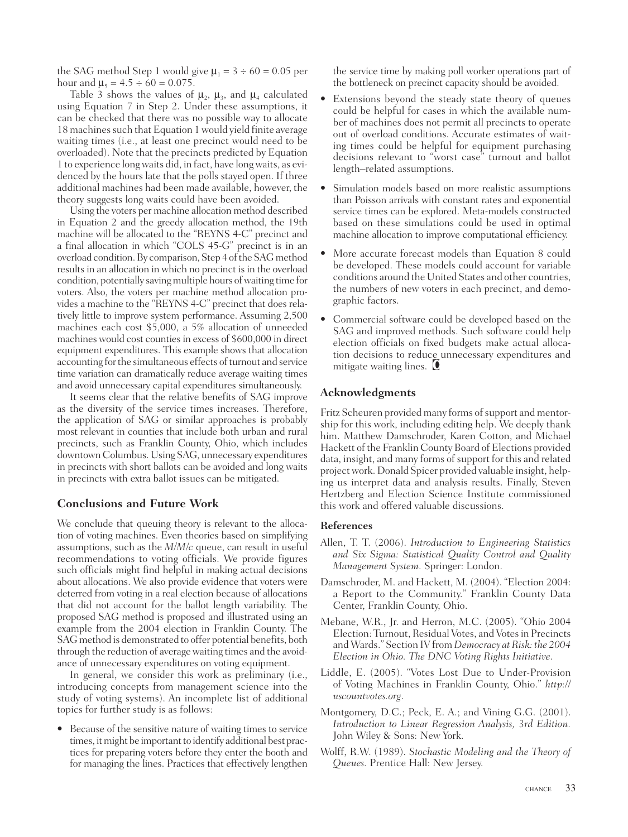the SAG method Step 1 would give  $\mu_1 = 3 \div 60 = 0.05$  per hour and  $\mu$ <sub>5</sub> = 4.5 ÷ 60 = 0.075.

Table 3 shows the values of  $\mu_2$ ,  $\mu_3$ , and  $\mu_4$  calculated using Equation 7 in Step 2. Under these assumptions, it can be checked that there was no possible way to allocate 18 machines such that Equation 1 would yield finite average waiting times (i.e., at least one precinct would need to be overloaded). Note that the precincts predicted by Equation 1 to experience long waits did, in fact, have long waits, as evidenced by the hours late that the polls stayed open. If three additional machines had been made available, however, the theory suggests long waits could have been avoided.

Using the voters per machine allocation method described in Equation 2 and the greedy allocation method, the 19th machine will be allocated to the "REYNS 4-C" precinct and a final allocation in which "COLS 45-G" precinct is in an overload condition. By comparison, Step 4 of the SAG method results in an allocation in which no precinct is in the overload condition, potentially saving multiple hours of waiting time for voters. Also, the voters per machine method allocation provides a machine to the "REYNS 4-C" precinct that does relatively little to improve system performance. Assuming 2,500 machines each cost \$5,000, a 5% allocation of unneeded machines would cost counties in excess of \$600,000 in direct equipment expenditures. This example shows that allocation accounting for the simultaneous effects of turnout and service time variation can dramatically reduce average waiting times and avoid unnecessary capital expenditures simultaneously.

It seems clear that the relative benefits of SAG improve as the diversity of the service times increases. Therefore, the application of SAG or similar approaches is probably most relevant in counties that include both urban and rural precincts, such as Franklin County, Ohio, which includes downtown Columbus. Using SAG, unnecessary expenditures in precincts with short ballots can be avoided and long waits in precincts with extra ballot issues can be mitigated.

#### **Conclusions and Future Work**

We conclude that queuing theory is relevant to the allocation of voting machines. Even theories based on simplifying assumptions, such as the *M/M/c* queue, can result in useful recommendations to voting officials. We provide figures such officials might find helpful in making actual decisions about allocations. We also provide evidence that voters were deterred from voting in a real election because of allocations that did not account for the ballot length variability. The proposed SAG method is proposed and illustrated using an example from the 2004 election in Franklin County. The SAG method is demonstrated to offer potential benefits, both through the reduction of average waiting times and the avoidance of unnecessary expenditures on voting equipment.

In general, we consider this work as preliminary (i.e., introducing concepts from management science into the study of voting systems). An incomplete list of additional topics for further study is as follows:

• Because of the sensitive nature of waiting times to service times, it might be important to identify additional best practices for preparing voters before they enter the booth and for managing the lines. Practices that effectively lengthen the service time by making poll worker operations part of the bottleneck on precinct capacity should be avoided.

- Extensions beyond the steady state theory of queues could be helpful for cases in which the available number of machines does not permit all precincts to operate out of overload conditions. Accurate estimates of waiting times could be helpful for equipment purchasing decisions relevant to "worst case" turnout and ballot length–related assumptions.
- Simulation models based on more realistic assumptions than Poisson arrivals with constant rates and exponential service times can be explored. Meta-models constructed based on these simulations could be used in optimal machine allocation to improve computational efficiency.
- More accurate forecast models than Equation 8 could be developed. These models could account for variable conditions around the United States and other countries, the numbers of new voters in each precinct, and demographic factors.
- Commercial software could be developed based on the SAG and improved methods. Such software could help election officials on fixed budgets make actual allocation decisions to reduce unnecessary expenditures and mitigate waiting lines.  $\bullet$

#### **Acknowledgments**

Fritz Scheuren provided many forms of support and mentorship for this work, including editing help. We deeply thank him. Matthew Damschroder, Karen Cotton, and Michael Hackett of the Franklin County Board of Elections provided data, insight, and many forms of support for this and related project work. Donald Spicer provided valuable insight, helping us interpret data and analysis results. Finally, Steven Hertzberg and Election Science Institute commissioned this work and offered valuable discussions.

#### **References**

- Allen, T. T. (2006). *Introduction to Engineering Statistics and Six Sigma: Statistical Quality Control and Quality Management System.* Springer: London.
- Damschroder, M. and Hackett, M. (2004). "Election 2004: a Report to the Community." Franklin County Data Center, Franklin County, Ohio.
- Mebane, W.R., Jr. and Herron, M.C. (2005). "Ohio 2004 Election: Turnout, Residual Votes, and Votes in Precincts and Wards." Section IV from *Democracy at Risk: the 2004 Election in Ohio. The DNC Voting Rights Initiative*.
- Liddle, E. (2005). "Votes Lost Due to Under-Provision of Voting Machines in Franklin County, Ohio." *http:// uscountvotes.org*.
- Montgomery, D.C.; Peck, E. A.; and Vining G.G. (2001). *Introduction to Linear Regression Analysis, 3rd Edition.* John Wiley & Sons: New York.
- Wolff, R.W. (1989). *Stochastic Modeling and the Theory of Queues.* Prentice Hall: New Jersey.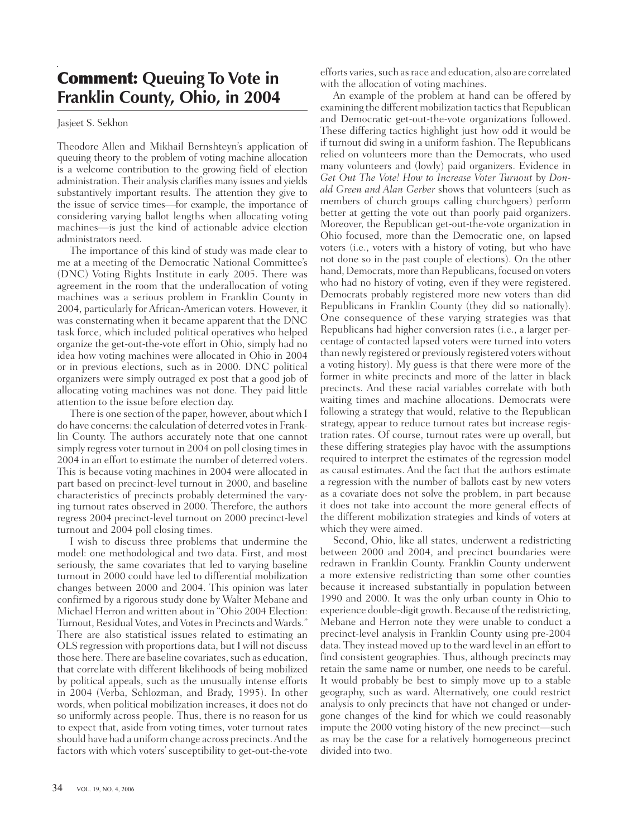## **Comment: Queuing To Vote in Franklin County, Ohio, in 2004**

Jasjeet S. Sekhon

Theodore Allen and Mikhail Bernshteyn's application of queuing theory to the problem of voting machine allocation is a welcome contribution to the growing field of election administration. Their analysis clarifies many issues and yields substantively important results. The attention they give to the issue of service times—for example, the importance of considering varying ballot lengths when allocating voting machines—is just the kind of actionable advice election administrators need.

The importance of this kind of study was made clear to me at a meeting of the Democratic National Committee's (DNC) Voting Rights Institute in early 2005. There was agreement in the room that the underallocation of voting machines was a serious problem in Franklin County in 2004, particularly for African-American voters. However, it was consternating when it became apparent that the DNC task force, which included political operatives who helped organize the get-out-the-vote effort in Ohio, simply had no idea how voting machines were allocated in Ohio in 2004 or in previous elections, such as in 2000. DNC political organizers were simply outraged ex post that a good job of allocating voting machines was not done. They paid little attention to the issue before election day.

There is one section of the paper, however, about which I do have concerns: the calculation of deterred votes in Franklin County. The authors accurately note that one cannot simply regress voter turnout in 2004 on poll closing times in 2004 in an effort to estimate the number of deterred voters. This is because voting machines in 2004 were allocated in part based on precinct-level turnout in 2000, and baseline characteristics of precincts probably determined the varying turnout rates observed in 2000. Therefore, the authors regress 2004 precinct-level turnout on 2000 precinct-level turnout and 2004 poll closing times.

I wish to discuss three problems that undermine the model: one methodological and two data. First, and most seriously, the same covariates that led to varying baseline turnout in 2000 could have led to differential mobilization changes between 2000 and 2004. This opinion was later confirmed by a rigorous study done by Walter Mebane and Michael Herron and written about in "Ohio 2004 Election: Turnout, Residual Votes, and Votes in Precincts and Wards." There are also statistical issues related to estimating an OLS regression with proportions data, but I will not discuss those here. There are baseline covariates, such as education, that correlate with different likelihoods of being mobilized by political appeals, such as the unusually intense efforts in 2004 (Verba, Schlozman, and Brady, 1995). In other words, when political mobilization increases, it does not do so uniformly across people. Thus, there is no reason for us to expect that, aside from voting times, voter turnout rates should have had a uniform change across precincts. And the factors with which voters' susceptibility to get-out-the-vote

efforts varies, such as race and education, also are correlated with the allocation of voting machines.

An example of the problem at hand can be offered by examining the different mobilization tactics that Republican and Democratic get-out-the-vote organizations followed. These differing tactics highlight just how odd it would be if turnout did swing in a uniform fashion. The Republicans relied on volunteers more than the Democrats, who used many volunteers and (lowly) paid organizers. Evidence in Get Out The Vote! How to Increase Voter Turnout by Don*ald Green and Alan Gerber* shows that volunteers (such as members of church groups calling churchgoers) perform better at getting the vote out than poorly paid organizers. Moreover, the Republican get-out-the-vote organization in Ohio focused, more than the Democratic one, on lapsed voters (i.e., voters with a history of voting, but who have not done so in the past couple of elections). On the other hand, Democrats, more than Republicans, focused on voters who had no history of voting, even if they were registered. Democrats probably registered more new voters than did Republicans in Franklin County (they did so nationally). One consequence of these varying strategies was that Republicans had higher conversion rates (i.e., a larger percentage of contacted lapsed voters were turned into voters than newly registered or previously registered voters without a voting history). My guess is that there were more of the former in white precincts and more of the latter in black precincts. And these racial variables correlate with both waiting times and machine allocations. Democrats were following a strategy that would, relative to the Republican strategy, appear to reduce turnout rates but increase registration rates. Of course, turnout rates were up overall, but these differing strategies play havoc with the assumptions required to interpret the estimates of the regression model as causal estimates. And the fact that the authors estimate a regression with the number of ballots cast by new voters as a covariate does not solve the problem, in part because it does not take into account the more general effects of the different mobilization strategies and kinds of voters at which they were aimed.

Second, Ohio, like all states, underwent a redistricting between 2000 and 2004, and precinct boundaries were redrawn in Franklin County. Franklin County underwent a more extensive redistricting than some other counties because it increased substantially in population between 1990 and 2000. It was the only urban county in Ohio to experience double-digit growth. Because of the redistricting, Mebane and Herron note they were unable to conduct a precinct-level analysis in Franklin County using pre-2004 data. They instead moved up to the ward level in an effort to find consistent geographies. Thus, although precincts may retain the same name or number, one needs to be careful. It would probably be best to simply move up to a stable geography, such as ward. Alternatively, one could restrict analysis to only precincts that have not changed or undergone changes of the kind for which we could reasonably impute the 2000 voting history of the new precinct—such as may be the case for a relatively homogeneous precinct divided into two.